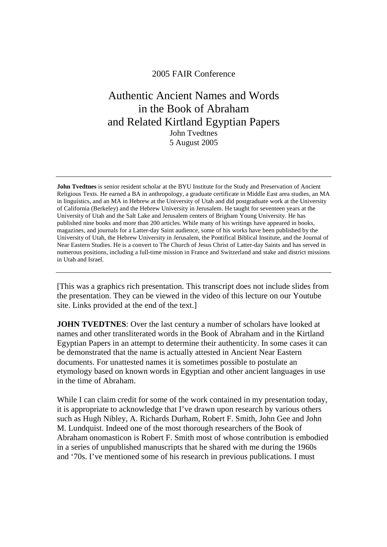## 2005 FAIR Conference

## Authentic Ancient Names and Words in the Book of Abraham and Related Kirtland Egyptian Papers John Tvedtnes 5 August 2005

**John Tvedtnes** is senior resident scholar at the BYU Institute for the Study and Preservation of Ancient Religious Texts. He earned a BA in anthropology, a graduate certificate in Middle East area studies, an MA in linguistics, and an MA in Hebrew at the University of Utah and did postgraduate work at the University of California (Berkeley) and the Hebrew University in Jerusalem. He taught for seventeen years at the University of Utah and the Salt Lake and Jerusalem centers of Brigham Young University. He has published nine books and more than 200 articles. While many of his writings have appeared in books, magazines, and journals for a Latter-day Saint audience, some of his works have been published by the University of Utah, the Hebrew University in Jerusalem, the Pontifical Biblical Institute, and the Journal of Near Eastern Studies. He is a convert to The Church of Jesus Christ of Latter-day Saints and has served in numerous positions, including a full-time mission in France and Switzerland and stake and district missions in Utah and Israel.

[This was a graphics rich presentation. This transcript does not include slides from the presentation. They can be viewed in the video of this lecture on our Youtube site. Links provided at the end of the text.]

**JOHN TVEDTNES**: Over the last century a number of scholars have looked at names and other transliterated words in the Book of Abraham and in the Kirtland Egyptian Papers in an attempt to determine their authenticity. In some cases it can be demonstrated that the name is actually attested in Ancient Near Eastern documents. For unattested names it is sometimes possible to postulate an etymology based on known words in Egyptian and other ancient languages in use in the time of Abraham.

While I can claim credit for some of the work contained in my presentation today, it is appropriate to acknowledge that I've drawn upon research by various others such as Hugh Nibley, A. Richards Durham, Robert F. Smith, John Gee and John M. Lundquist. Indeed one of the most thorough researchers of the Book of Abraham onomasticon is Robert F. Smith most of whose contribution is embodied in a series of unpublished manuscripts that he shared with me during the 1960s and '70s. I've mentioned some of his research in previous publications. I must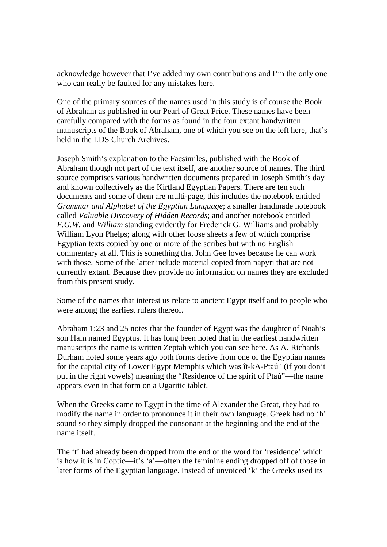acknowledge however that I've added my own contributions and I'm the only one who can really be faulted for any mistakes here.

One of the primary sources of the names used in this study is of course the Book of Abraham as published in our Pearl of Great Price. These names have been carefully compared with the forms as found in the four extant handwritten manuscripts of the Book of Abraham, one of which you see on the left here, that's held in the LDS Church Archives.

Joseph Smith's explanation to the Facsimiles, published with the Book of Abraham though not part of the text itself, are another source of names. The third source comprises various handwritten documents prepared in Joseph Smith's day and known collectively as the Kirtland Egyptian Papers. There are ten such documents and some of them are multi-page, this includes the notebook entitled *Grammar and Alphabet of the Egyptian Language*; a smaller handmade notebook called *Valuable Discovery of Hidden Records*; and another notebook entitled *F.G.W.* and *William* standing evidently for Frederick G. Williams and probably William Lyon Phelps; along with other loose sheets a few of which comprise Egyptian texts copied by one or more of the scribes but with no English commentary at all. This is something that John Gee loves because he can work with those. Some of the latter include material copied from papyri that are not currently extant. Because they provide no information on names they are excluded from this present study.

Some of the names that interest us relate to ancient Egypt itself and to people who were among the earliest rulers thereof.

Abraham 1:23 and 25 notes that the founder of Egypt was the daughter of Noah's son Ham named Egyptus. It has long been noted that in the earliest handwritten manuscripts the name is written Zeptah which you can see here. As A. Richards Durham noted some years ago both forms derive from one of the Egyptian names for the capital city of Lower Egypt Memphis which was ît-kA-Ptaú ' (if you don't put in the right vowels) meaning the "Residence of the spirit of Ptaú"—the name appears even in that form on a Ugaritic tablet.

When the Greeks came to Egypt in the time of Alexander the Great, they had to modify the name in order to pronounce it in their own language. Greek had no 'h' sound so they simply dropped the consonant at the beginning and the end of the name itself.

The 't' had already been dropped from the end of the word for 'residence' which is how it is in Coptic—it's 'a'—often the feminine ending dropped off of those in later forms of the Egyptian language. Instead of unvoiced 'k' the Greeks used its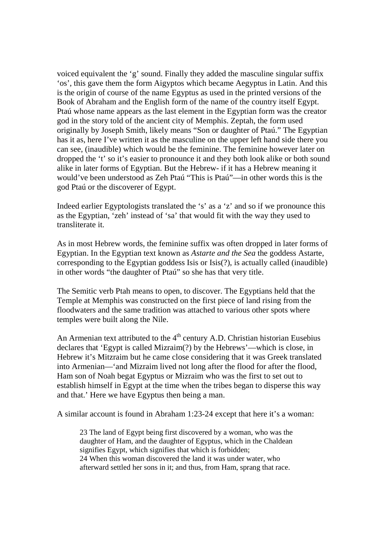voiced equivalent the 'g' sound. Finally they added the masculine singular suffix 'os', this gave them the form Aigyptos which became Aegyptus in Latin. And this is the origin of course of the name Egyptus as used in the printed versions of the Book of Abraham and the English form of the name of the country itself Egypt. Ptaú whose name appears as the last element in the Egyptian form was the creator god in the story told of the ancient city of Memphis. Zeptah, the form used originally by Joseph Smith, likely means "Son or daughter of Ptaú." The Egyptian has it as, here I've written it as the masculine on the upper left hand side there you can see, (inaudible) which would be the feminine. The feminine however later on dropped the 't' so it's easier to pronounce it and they both look alike or both sound alike in later forms of Egyptian. But the Hebrew- if it has a Hebrew meaning it would've been understood as Zeh Ptaú "This is Ptaú"—in other words this is the god Ptaú or the discoverer of Egypt.

Indeed earlier Egyptologists translated the 's' as a 'z' and so if we pronounce this as the Egyptian, 'zeh' instead of 'sa' that would fit with the way they used to transliterate it.

As in most Hebrew words, the feminine suffix was often dropped in later forms of Egyptian. In the Egyptian text known as *Astarte and the Sea* the goddess Astarte, corresponding to the Egyptian goddess Isis or Isis(?), is actually called (inaudible) in other words "the daughter of Ptaú" so she has that very title.

The Semitic verb Ptah means to open, to discover. The Egyptians held that the Temple at Memphis was constructed on the first piece of land rising from the floodwaters and the same tradition was attached to various other spots where temples were built along the Nile.

An Armenian text attributed to the  $4<sup>th</sup>$  century A.D. Christian historian Eusebius declares that 'Egypt is called Mizraim(?) by the Hebrews'—which is close, in Hebrew it's Mitzraim but he came close considering that it was Greek translated into Armenian—'and Mizraim lived not long after the flood for after the flood, Ham son of Noah begat Egyptus or Mizraim who was the first to set out to establish himself in Egypt at the time when the tribes began to disperse this way and that.' Here we have Egyptus then being a man.

A similar account is found in Abraham 1:23-24 except that here it's a woman:

23 The land of Egypt being first discovered by a woman, who was the daughter of Ham, and the daughter of Egyptus, which in the Chaldean signifies Egypt, which signifies that which is forbidden; 24 When this woman discovered the land it was under water, who afterward settled her sons in it; and thus, from Ham, sprang that race.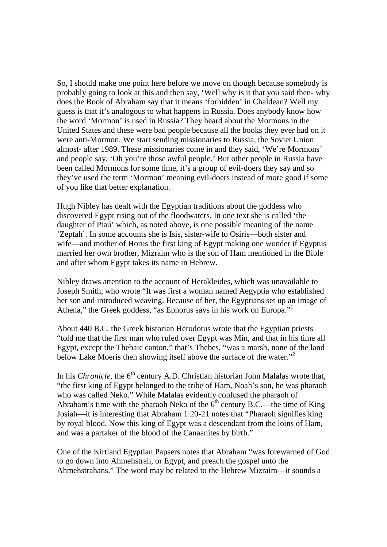So, I should make one point here before we move on though because somebody is probably going to look at this and then say, 'Well why is it that you said then- why does the Book of Abraham say that it means 'forbidden' in Chaldean? Well my guess is that it's analogous to what happens in Russia. Does anybody know how the word 'Mormon' is used in Russia? They heard about the Mormons in the United States and these were bad people because all the books they ever had on it were anti-Mormon. We start sending missionaries to Russia, the Soviet Union almost- after 1989. These missionaries come in and they said, 'We're Mormons' and people say, 'Oh you're those awful people.' But other people in Russia have been called Mormons for some time, it's a group of evil-doers they say and so they've used the term 'Mormon' meaning evil-doers instead of more good if some of you like that better explanation.

Hugh Nibley has dealt with the Egyptian traditions about the goddess who discovered Egypt rising out of the floodwaters. In one text she is called 'the daughter of Ptaú' which, as noted above, is one possible meaning of the name 'Zeptah'. In some accounts she is Isis, sister-wife to Osiris—both sister and wife—and mother of Horus the first king of Egypt making one wonder if Egyptus married her own brother, Mizraim who is the son of Ham mentioned in the Bible and after whom Egypt takes its name in Hebrew.

Nibley draws attention to the account of Herakleides, which was unavailable to Joseph Smith, who wrote "It was first a woman named Aegyptia who established her son and introduced weaving. Because of her, the Egyptians set up an image of Athena," the Greek goddess, "as Ephorus says in his work on Europa."<sup>1</sup>

About 440 B.C. the Greek historian Herodotus wrote that the Egyptian priests "told me that the first man who ruled over Egypt was Min, and that in his time all Egypt, except the Thebaic canton," that's Thebes, "was a marsh, none of the land below Lake Moeris then showing itself above the surface of the water."<sup>2</sup>

In his *Chronicle*, the  $6<sup>th</sup>$  century A.D. Christian historian John Malalas wrote that, "the first king of Egypt belonged to the tribe of Ham, Noah's son, he was pharaoh who was called Neko." While Malalas evidently confused the pharaoh of Abraham's time with the pharaoh Neko of the  $6<sup>th</sup>$  century B.C.—the time of King Josiah—it is interesting that Abraham 1:20-21 notes that "Pharaoh signifies king by royal blood. Now this king of Egypt was a descendant from the loins of Ham, and was a partaker of the blood of the Canaanites by birth."

One of the Kirtland Egyptian Papsers notes that Abraham "was forewarned of God to go down into Ahmehstrah, or Egypt, and preach the gospel unto the Ahmehstrahans." The word may be related to the Hebrew Mizraim—it sounds a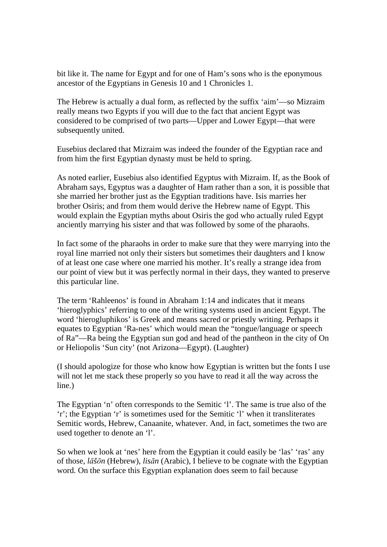bit like it. The name for Egypt and for one of Ham's sons who is the eponymous ancestor of the Egyptians in Genesis 10 and 1 Chronicles 1.

The Hebrew is actually a dual form, as reflected by the suffix 'aim'—so Mizraim really means two Egypts if you will due to the fact that ancient Egypt was considered to be comprised of two parts—Upper and Lower Egypt—that were subsequently united.

Eusebius declared that Mizraim was indeed the founder of the Egyptian race and from him the first Egyptian dynasty must be held to spring.

As noted earlier, Eusebius also identified Egyptus with Mizraim. If, as the Book of Abraham says, Egyptus was a daughter of Ham rather than a son, it is possible that she married her brother just as the Egyptian traditions have. Isis marries her brother Osiris; and from them would derive the Hebrew name of Egypt. This would explain the Egyptian myths about Osiris the god who actually ruled Egypt anciently marrying his sister and that was followed by some of the pharaohs.

In fact some of the pharaohs in order to make sure that they were marrying into the royal line married not only their sisters but sometimes their daughters and I know of at least one case where one married his mother. It's really a strange idea from our point of view but it was perfectly normal in their days, they wanted to preserve this particular line.

The term 'Rahleenos' is found in Abraham 1:14 and indicates that it means 'hieroglyphics' referring to one of the writing systems used in ancient Egypt. The word 'hierogluphikos' is Greek and means sacred or priestly writing. Perhaps it equates to Egyptian 'Ra-nes' which would mean the "tongue/language or speech of Ra"—Ra being the Egyptian sun god and head of the pantheon in the city of On or Heliopolis 'Sun city' (not Arizona—Egypt). (Laughter)

(I should apologize for those who know how Egyptian is written but the fonts I use will not let me stack these properly so you have to read it all the way across the line.)

The Egyptian 'n' often corresponds to the Semitic 'l'. The same is true also of the 'r'; the Egyptian 'r' is sometimes used for the Semitic 'l' when it transliterates Semitic words, Hebrew, Canaanite, whatever. And, in fact, sometimes the two are used together to denote an 'l'.

So when we look at 'nes' here from the Egyptian it could easily be 'las' 'ras' any of those, *lāšōn* (Hebrew), *lisān* (Arabic), I believe to be cognate with the Egyptian word. On the surface this Egyptian explanation does seem to fail because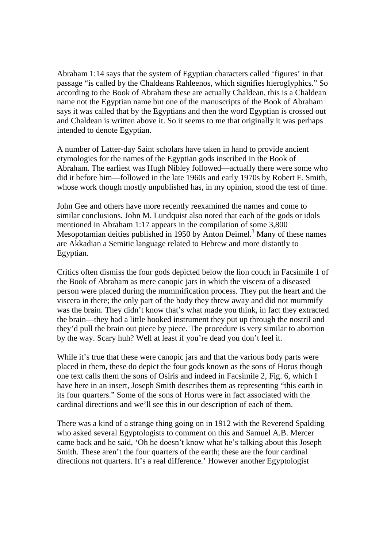Abraham 1:14 says that the system of Egyptian characters called 'figures' in that passage "is called by the Chaldeans Rahleenos, which signifies hieroglyphics." So according to the Book of Abraham these are actually Chaldean, this is a Chaldean name not the Egyptian name but one of the manuscripts of the Book of Abraham says it was called that by the Egyptians and then the word Egyptian is crossed out and Chaldean is written above it. So it seems to me that originally it was perhaps intended to denote Egyptian.

A number of Latter-day Saint scholars have taken in hand to provide ancient etymologies for the names of the Egyptian gods inscribed in the Book of Abraham. The earliest was Hugh Nibley followed—actually there were some who did it before him—followed in the late 1960s and early 1970s by Robert F. Smith, whose work though mostly unpublished has, in my opinion, stood the test of time.

John Gee and others have more recently reexamined the names and come to similar conclusions. John M. Lundquist also noted that each of the gods or idols mentioned in Abraham 1:17 appears in the compilation of some 3,800 Mesopotamian deities published in 1950 by Anton Deimel.<sup>3</sup> Many of these names are Akkadian a Semitic language related to Hebrew and more distantly to Egyptian.

Critics often dismiss the four gods depicted below the lion couch in Facsimile 1 of the Book of Abraham as mere canopic jars in which the viscera of a diseased person were placed during the mummification process. They put the heart and the viscera in there; the only part of the body they threw away and did not mummify was the brain. They didn't know that's what made you think, in fact they extracted the brain—they had a little hooked instrument they put up through the nostril and they'd pull the brain out piece by piece. The procedure is very similar to abortion by the way. Scary huh? Well at least if you're dead you don't feel it.

While it's true that these were canopic jars and that the various body parts were placed in them, these do depict the four gods known as the sons of Horus though one text calls them the sons of Osiris and indeed in Facsimile 2, Fig. 6, which I have here in an insert, Joseph Smith describes them as representing "this earth in its four quarters." Some of the sons of Horus were in fact associated with the cardinal directions and we'll see this in our description of each of them.

There was a kind of a strange thing going on in 1912 with the Reverend Spalding who asked several Egyptologists to comment on this and Samuel A.B. Mercer came back and he said, 'Oh he doesn't know what he's talking about this Joseph Smith. These aren't the four quarters of the earth; these are the four cardinal directions not quarters. It's a real difference.' However another Egyptologist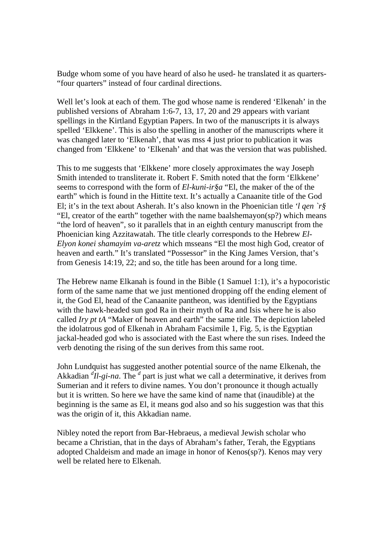Budge whom some of you have heard of also he used- he translated it as quarters- "four quarters" instead of four cardinal directions.

Well let's look at each of them. The god whose name is rendered 'Elkenah' in the published versions of Abraham 1:6-7, 13, 17, 20 and 29 appears with variant spellings in the Kirtland Egyptian Papers. In two of the manuscripts it is always spelled 'Elkkene'. This is also the spelling in another of the manuscripts where it was changed later to 'Elkenah', that was mss 4 just prior to publication it was changed from 'Elkkene' to 'Elkenah' and that was the version that was published.

This to me suggests that 'Elkkene' more closely approximates the way Joseph Smith intended to transliterate it. Robert F. Smith noted that the form 'Elkkene' seems to correspond with the form of *El-kuni-ir§a* "El, the maker of the of the earth" which is found in the Hittite text. It's actually a Canaanite title of the God El; it's in the text about Asherah. It's also known in the Phoenician title *'l qen `r§* "El, creator of the earth" together with the name baalshemayon(sp?) which means "the lord of heaven", so it parallels that in an eighth century manuscript from the Phoenician king Azzitawatah. The title clearly corresponds to the Hebrew *El-Elyon konei shamayim va-aretz* which msseans "El the most high God, creator of heaven and earth." It's translated "Possessor" in the King James Version, that's from Genesis 14:19, 22; and so, the title has been around for a long time.

The Hebrew name Elkanah is found in the Bible (1 Samuel 1:1), it's a hypocoristic form of the same name that we just mentioned dropping off the ending element of it, the God El, head of the Canaanite pantheon, was identified by the Egyptians with the hawk-headed sun god Ra in their myth of Ra and Isis where he is also called *Iry pt tA* "Maker of heaven and earth" the same title. The depiction labeled the idolatrous god of Elkenah in Abraham Facsimile 1, Fig. 5, is the Egyptian jackal-headed god who is associated with the East where the sun rises. Indeed the verb denoting the rising of the sun derives from this same root.

John Lundquist has suggested another potential source of the name Elkenah, the Akkadian  ${}^{d}Il$ -gi-na. The <sup>d</sup> part is just what we call a determinative, it derives from Sumerian and it refers to divine names. You don't pronounce it though actually but it is written. So here we have the same kind of name that (inaudible) at the beginning is the same as El, it means god also and so his suggestion was that this was the origin of it, this Akkadian name.

Nibley noted the report from Bar-Hebraeus, a medieval Jewish scholar who became a Christian, that in the days of Abraham's father, Terah, the Egyptians adopted Chaldeism and made an image in honor of Kenos(sp?). Kenos may very well be related here to Elkenah.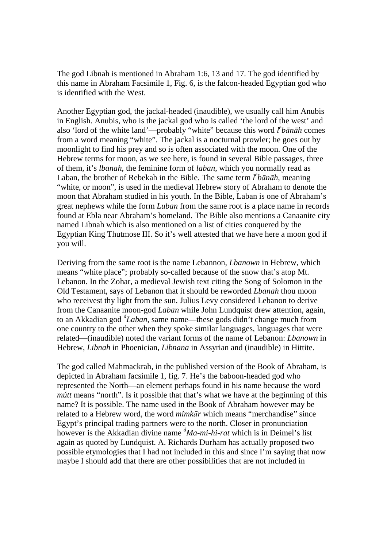The god Libnah is mentioned in Abraham 1:6, 13 and 17. The god identified by this name in Abraham Facsimile 1, Fig. 6, is the falcon-headed Egyptian god who is identified with the West.

Another Egyptian god, the jackal-headed (inaudible), we usually call him Anubis in English. Anubis, who is the jackal god who is called 'the lord of the west' and also 'lord of the white land'—probably "white" because this word *l e bānāh* comes from a word meaning "white". The jackal is a nocturnal prowler; he goes out by moonlight to find his prey and so is often associated with the moon. One of the Hebrew terms for moon, as we see here, is found in several Bible passages, three of them, it's *lbanah*, the feminine form of *laban*, which you normally read as Laban, the brother of Rebekah in the Bible. The same term  $l^e b \bar{a} n \bar{a} h$ , meaning "white, or moon", is used in the medieval Hebrew story of Abraham to denote the moon that Abraham studied in his youth. In the Bible, Laban is one of Abraham's great nephews while the form *Luban* from the same root is a place name in records found at Ebla near Abraham's homeland. The Bible also mentions a Canaanite city named Libnah which is also mentioned on a list of cities conquered by the Egyptian King Thutmose III. So it's well attested that we have here a moon god if you will.

Deriving from the same root is the name Lebannon, *Lbanown* in Hebrew, which means "white place"; probably so-called because of the snow that's atop Mt. Lebanon. In the Zohar, a medieval Jewish text citing the Song of Solomon in the Old Testament, says of Lebanon that it should be reworded *Lbanah* thou moon who receivest thy light from the sun. Julius Levy considered Lebanon to derive from the Canaanite moon-god *Laban* while John Lundquist drew attention, again, to an Akkadian god *<sup>d</sup> Laban*, same name—these gods didn't change much from one country to the other when they spoke similar languages, languages that were related—(inaudible) noted the variant forms of the name of Lebanon: *Lbanown* in Hebrew, *Libnah* in Phoenician, *Libnana* in Assyrian and (inaudible) in Hittite.

The god called Mahmackrah, in the published version of the Book of Abraham, is depicted in Abraham facsimile 1, fig. 7. He's the baboon-headed god who represented the North—an element perhaps found in his name because the word *mútt* means "north". Is it possible that that's what we have at the beginning of this name? It is possible. The name used in the Book of Abraham however may be related to a Hebrew word, the word *mimkār* which means "merchandise" since Egypt's principal trading partners were to the north. Closer in pronunciation however is the Akkadian divine name *<sup>d</sup>Ma-mi-hi-rat* which is in Deimel's list again as quoted by Lundquist. A. Richards Durham has actually proposed two possible etymologies that I had not included in this and since I'm saying that now maybe I should add that there are other possibilities that are not included in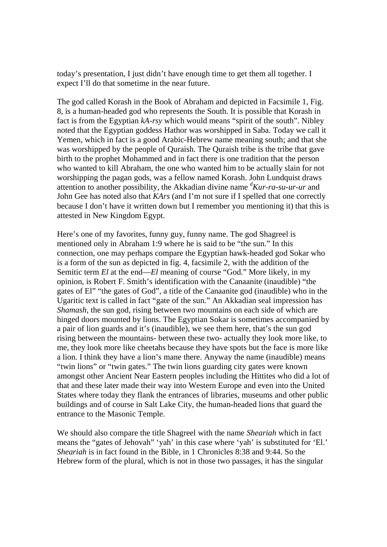today's presentation, I just didn't have enough time to get them all together. I expect I'll do that sometime in the near future.

The god called Korash in the Book of Abraham and depicted in Facsimile 1, Fig. 8, is a human-headed god who represents the South. It is possible that Korash in fact is from the Egyptian *kA-rsy* which would means "spirit of the south". Nibley noted that the Egyptian goddess Hathor was worshipped in Saba. Today we call it Yemen, which in fact is a good Arabic-Hebrew name meaning south; and that she was worshipped by the people of Quraish. The Quraish tribe is the tribe that gave birth to the prophet Mohammed and in fact there is one tradition that the person who wanted to kill Abraham, the one who wanted him to be actually slain for not worshipping the pagan gods, was a fellow named Korash. John Lundquist draws attention to another possibility, the Akkadian divine name *<sup>d</sup>Kur-ra-su-ur-ur* and John Gee has noted also that *KArs* (and I'm not sure if I spelled that one correctly because I don't have it written down but I remember you mentioning it) that this is attested in New Kingdom Egypt.

Here's one of my favorites, funny guy, funny name. The god Shagreel is mentioned only in Abraham 1:9 where he is said to be "the sun." In this connection, one may perhaps compare the Egyptian hawk-headed god Sokar who is a form of the sun as depicted in fig. 4, facsimile 2, with the addition of the Semitic term *El* at the end—*El* meaning of course "God." More likely, in my opinion, is Robert F. Smith's identification with the Canaanite (inaudible) "the gates of El" "the gates of God", a title of the Canaanite god (inaudible) who in the Ugaritic text is called in fact "gate of the sun." An Akkadian seal impression has *Shamash*, the sun god, rising between two mountains on each side of which are hinged doors mounted by lions. The Egyptian Sokar is sometimes accompanied by a pair of lion guards and it's (inaudible), we see them here, that's the sun god rising between the mountains- between these two- actually they look more like, to me, they look more like cheetahs because they have spots but the face is more like a lion. I think they have a lion's mane there. Anyway the name (inaudible) means "twin lions" or "twin gates." The twin lions guarding city gates were known amongst other Ancient Near Eastern peoples including the Hittites who did a lot of that and these later made their way into Western Europe and even into the United States where today they flank the entrances of libraries, museums and other public buildings and of course in Salt Lake City, the human-headed lions that guard the entrance to the Masonic Temple.

We should also compare the title Shagreel with the name *Sheariah* which in fact means the "gates of Jehovah" 'yah' in this case where 'yah' is substituted for 'El.' *Sheariah* is in fact found in the Bible, in 1 Chronicles 8:38 and 9:44. So the Hebrew form of the plural, which is not in those two passages, it has the singular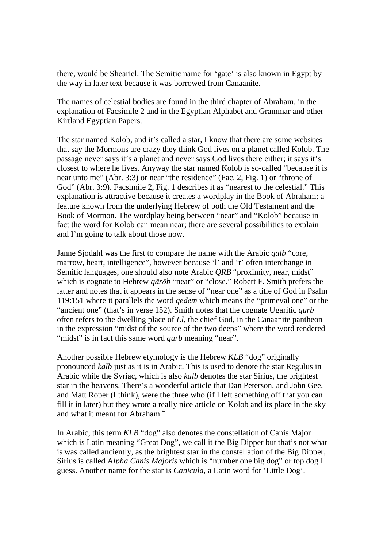there, would be Sheariel. The Semitic name for 'gate' is also known in Egypt by the way in later text because it was borrowed from Canaanite.

The names of celestial bodies are found in the third chapter of Abraham, in the explanation of Facsimile 2 and in the Egyptian Alphabet and Grammar and other Kirtland Egyptian Papers.

The star named Kolob, and it's called a star, I know that there are some websites that say the Mormons are crazy they think God lives on a planet called Kolob. The passage never says it's a planet and never says God lives there either; it says it's closest to where he lives. Anyway the star named Kolob is so-called "because it is near unto me" (Abr. 3:3) or near "the residence" (Fac. 2, Fig. 1) or "throne of God" (Abr. 3:9). Facsimile 2, Fig. 1 describes it as "nearest to the celestial." This explanation is attractive because it creates a wordplay in the Book of Abraham; a feature known from the underlying Hebrew of both the Old Testament and the Book of Mormon. The wordplay being between "near" and "Kolob" because in fact the word for Kolob can mean near; there are several possibilities to explain and I'm going to talk about those now.

Janne Sjodahl was the first to compare the name with the Arabic *qalb* "core, marrow, heart, intelligence", however because 'l' and 'r' often interchange in Semitic languages, one should also note Arabic *QRB* "proximity, near, midst" which is cognate to Hebrew *q* $\bar{a}$ *r* $\bar{b}$ *b* "near" or "close." Robert F. Smith prefers the latter and notes that it appears in the sense of "near one" as a title of God in Psalm 119:151 where it parallels the word *qedem* which means the "primeval one" or the "ancient one" (that's in verse 152). Smith notes that the cognate Ugaritic *qurb* often refers to the dwelling place of *El*, the chief God, in the Canaanite pantheon in the expression "midst of the source of the two deeps" where the word rendered "midst" is in fact this same word *qurb* meaning "near".

Another possible Hebrew etymology is the Hebrew *KLB* "dog" originally pronounced *kalb* just as it is in Arabic. This is used to denote the star Regulus in Arabic while the Syriac, which is also *kalb* denotes the star Sirius, the brightest star in the heavens. There's a wonderful article that Dan Peterson, and John Gee, and Matt Roper (I think), were the three who (if I left something off that you can fill it in later) but they wrote a really nice article on Kolob and its place in the sky and what it meant for Abraham.<sup>4</sup>

In Arabic, this term *KLB* "dog" also denotes the constellation of Canis Major which is Latin meaning "Great Dog", we call it the Big Dipper but that's not what is was called anciently, as the brightest star in the constellation of the Big Dipper, Sirius is called A*lpha Canis Majoris* which is "number one big dog" or top dog I guess. Another name for the star is *Canicula*, a Latin word for 'Little Dog'.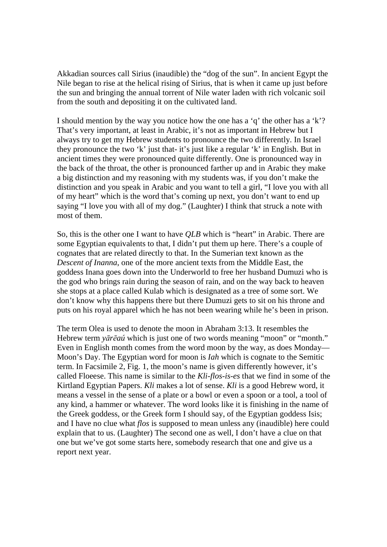Akkadian sources call Sirius (inaudible) the "dog of the sun". In ancient Egypt the Nile began to rise at the helical rising of Sirius, that is when it came up just before the sun and bringing the annual torrent of Nile water laden with rich volcanic soil from the south and depositing it on the cultivated land.

I should mention by the way you notice how the one has a 'q' the other has a 'k'? That's very important, at least in Arabic, it's not as important in Hebrew but I always try to get my Hebrew students to pronounce the two differently. In Israel they pronounce the two 'k' just that- it's just like a regular 'k' in English. But in ancient times they were pronounced quite differently. One is pronounced way in the back of the throat, the other is pronounced farther up and in Arabic they make a big distinction and my reasoning with my students was, if you don't make the distinction and you speak in Arabic and you want to tell a girl, "I love you with all of my heart" which is the word that's coming up next, you don't want to end up saying "I love you with all of my dog." (Laughter) I think that struck a note with most of them.

So, this is the other one I want to have *QLB* which is "heart" in Arabic. There are some Egyptian equivalents to that, I didn't put them up here. There's a couple of cognates that are related directly to that. In the Sumerian text known as the *Descent of Inanna*, one of the more ancient texts from the Middle East, the goddess Inana goes down into the Underworld to free her husband Dumuzi who is the god who brings rain during the season of rain, and on the way back to heaven she stops at a place called Kulab which is designated as a tree of some sort. We don't know why this happens there but there Dumuzi gets to sit on his throne and puts on his royal apparel which he has not been wearing while he's been in prison.

The term Olea is used to denote the moon in Abraham 3:13. It resembles the Hebrew term *yãrēaú* which is just one of two words meaning "moon" or "month." Even in English month comes from the word moon by the way, as does Monday— Moon's Day. The Egyptian word for moon is *Iah* which is cognate to the Semitic term. In Facsimile 2, Fig. 1, the moon's name is given differently however, it's called Floeese. This name is similar to the *Kli-flos-is-es* that we find in some of the Kirtland Egyptian Papers. *Kli* makes a lot of sense. *Kli* is a good Hebrew word, it means a vessel in the sense of a plate or a bowl or even a spoon or a tool, a tool of any kind, a hammer or whatever. The word looks like it is finishing in the name of the Greek goddess, or the Greek form I should say, of the Egyptian goddess Isis; and I have no clue what *flos* is supposed to mean unless any (inaudible) here could explain that to us. (Laughter) The second one as well, I don't have a clue on that one but we've got some starts here, somebody research that one and give us a report next year.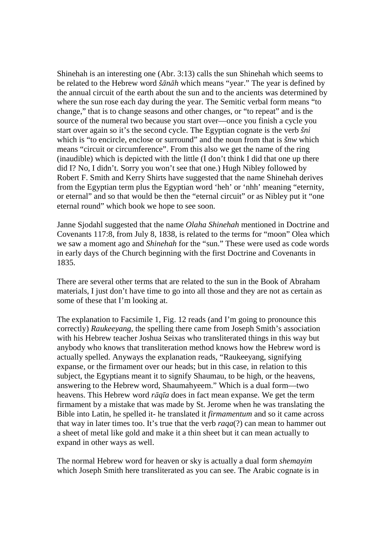Shinehah is an interesting one (Abr. 3:13) calls the sun Shinehah which seems to be related to the Hebrew word *šānāh* which means "year." The year is defined by the annual circuit of the earth about the sun and to the ancients was determined by where the sun rose each day during the year. The Semitic verbal form means "to change," that is to change seasons and other changes, or "to repeat" and is the source of the numeral two because you start over—once you finish a cycle you start over again so it's the second cycle. The Egyptian cognate is the verb *šni* which is "to encircle, enclose or surround" and the noun from that is *šnw* which means "circuit or circumference". From this also we get the name of the ring (inaudible) which is depicted with the little (I don't think I did that one up there did I? No, I didn't. Sorry you won't see that one.) Hugh Nibley followed by Robert F. Smith and Kerry Shirts have suggested that the name Shinehah derives from the Egyptian term plus the Egyptian word 'heh' or 'nhh' meaning "eternity, or eternal" and so that would be then the "eternal circuit" or as Nibley put it "one eternal round" which book we hope to see soon.

Janne Sjodahl suggested that the name *Olaha Shinehah* mentioned in Doctrine and Covenants 117:8, from July 8, 1838, is related to the terms for "moon" Olea which we saw a moment ago and *Shinehah* for the "sun." These were used as code words in early days of the Church beginning with the first Doctrine and Covenants in 1835.

There are several other terms that are related to the sun in the Book of Abraham materials, I just don't have time to go into all those and they are not as certain as some of these that I'm looking at.

The explanation to Facsimile 1, Fig. 12 reads (and I'm going to pronounce this correctly) *Raukeeyang*, the spelling there came from Joseph Smith's association with his Hebrew teacher Joshua Seixas who transliterated things in this way but anybody who knows that transliteration method knows how the Hebrew word is actually spelled. Anyways the explanation reads, "Raukeeyang, signifying expanse, or the firmament over our heads; but in this case, in relation to this subject, the Egyptians meant it to signify Shaumau, to be high, or the heavens, answering to the Hebrew word, Shaumahyeem." Which is a dual form—two heavens. This Hebrew word *rāqīa* does in fact mean expanse. We get the term firmament by a mistake that was made by St. Jerome when he was translating the Bible into Latin, he spelled it- he translated it *firmamentum* and so it came across that way in later times too. It's true that the verb *raqa*(?) can mean to hammer out a sheet of metal like gold and make it a thin sheet but it can mean actually to expand in other ways as well.

The normal Hebrew word for heaven or sky is actually a dual form *shemayim* which Joseph Smith here transliterated as you can see. The Arabic cognate is in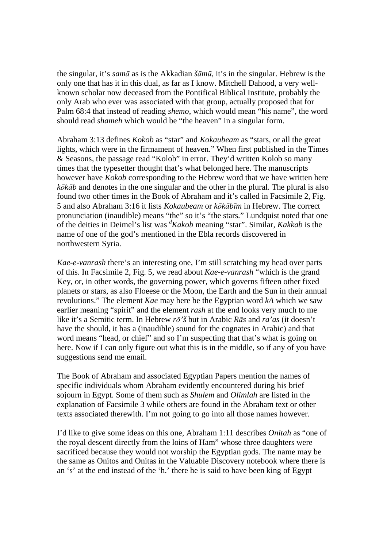the singular, it's *samā* as is the Akkadian *šāmū*, it's in the singular. Hebrew is the only one that has it in this dual, as far as I know. Mitchell Dahood, a very wellknown scholar now deceased from the Pontifical Biblical Institute, probably the only Arab who ever was associated with that group, actually proposed that for Palm 68:4 that instead of reading *shemo*, which would mean "his name", the word should read *shameh* which would be "the heaven" in a singular form.

Abraham 3:13 defines *Kokob* as "star" and *Kokaubeam* as "stars, or all the great lights, which were in the firmament of heaven." When first published in the Times & Seasons, the passage read "Kolob" in error. They'd written Kolob so many times that the typesetter thought that's what belonged here. The manuscripts however have *Kokob* corresponding to the Hebrew word that we have written here *kōkāb* and denotes in the one singular and the other in the plural. The plural is also found two other times in the Book of Abraham and it's called in Facsimile 2, Fig. 5 and also Abraham 3:16 it lists *Kokaubeam* or *kōkābīm* in Hebrew. The correct pronunciation (inaudible) means "the" so it's "the stars." Lundquist noted that one of the deities in Deimel's list was *<sup>d</sup>Kakob* meaning "star". Similar, *Kakkab* is the name of one of the god's mentioned in the Ebla records discovered in northwestern Syria.

*Kae-e-vanrash* there's an interesting one, I'm still scratching my head over parts of this. In Facsimile 2, Fig. 5, we read about *Kae-e-vanrash* "which is the grand Key, or, in other words, the governing power, which governs fifteen other fixed planets or stars, as also Floeese or the Moon, the Earth and the Sun in their annual revolutions." The element *Kae* may here be the Egyptian word *kA* which we saw earlier meaning "spirit" and the element *rash* at the end looks very much to me like it's a Semitic term. In Hebrew *rō'š* but in Arabic *Rās* and *ra'as* (it doesn't have the should, it has a (inaudible) sound for the cognates in Arabic) and that word means "head, or chief" and so I'm suspecting that that's what is going on here. Now if I can only figure out what this is in the middle, so if any of you have suggestions send me email.

The Book of Abraham and associated Egyptian Papers mention the names of specific individuals whom Abraham evidently encountered during his brief sojourn in Egypt. Some of them such as *Shulem* and *Olimlah* are listed in the explanation of Facsimile 3 while others are found in the Abraham text or other texts associated therewith. I'm not going to go into all those names however.

I'd like to give some ideas on this one, Abraham 1:11 describes *Onitah* as "one of the royal descent directly from the loins of Ham" whose three daughters were sacrificed because they would not worship the Egyptian gods. The name may be the same as Onitos and Onitas in the Valuable Discovery notebook where there is an 's' at the end instead of the 'h.' there he is said to have been king of Egypt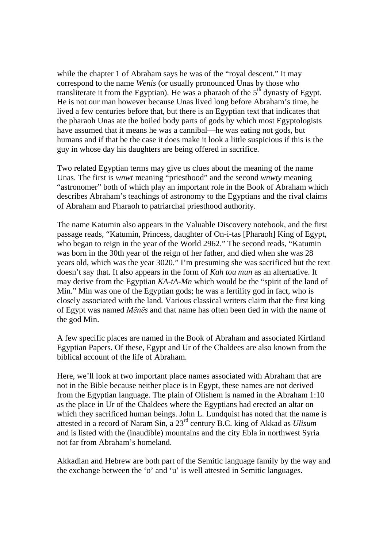while the chapter 1 of Abraham says he was of the "royal descent." It may correspond to the name *Wenis* (or usually pronounced Unas by those who transliterate it from the Egyptian). He was a pharaoh of the  $5<sup>th</sup>$  dynasty of Egypt. He is not our man however because Unas lived long before Abraham's time, he lived a few centuries before that, but there is an Egyptian text that indicates that the pharaoh Unas ate the boiled body parts of gods by which most Egyptologists have assumed that it means he was a cannibal—he was eating not gods, but humans and if that be the case it does make it look a little suspicious if this is the guy in whose day his daughters are being offered in sacrifice.

Two related Egyptian terms may give us clues about the meaning of the name Unas. The first is *wnwt* meaning "priesthood" and the second *wnwty* meaning "astronomer" both of which play an important role in the Book of Abraham which describes Abraham's teachings of astronomy to the Egyptians and the rival claims of Abraham and Pharaoh to patriarchal priesthood authority.

The name Katumin also appears in the Valuable Discovery notebook, and the first passage reads, "Katumin, Princess, daughter of On-i-tas [Pharaoh] King of Egypt, who began to reign in the year of the World 2962." The second reads, "Katumin was born in the 30th year of the reign of her father, and died when she was 28 years old, which was the year 3020." I'm presuming she was sacrificed but the text doesn't say that. It also appears in the form of *Kah tou mun* as an alternative. It may derive from the Egyptian *KA-tA-Mn* which would be the "spirit of the land of Min." Min was one of the Egyptian gods; he was a fertility god in fact, who is closely associated with the land. Various classical writers claim that the first king of Egypt was named *Mēnēs* and that name has often been tied in with the name of the god Min.

A few specific places are named in the Book of Abraham and associated Kirtland Egyptian Papers. Of these, Egypt and Ur of the Chaldees are also known from the biblical account of the life of Abraham.

Here, we'll look at two important place names associated with Abraham that are not in the Bible because neither place is in Egypt, these names are not derived from the Egyptian language. The plain of Olishem is named in the Abraham 1:10 as the place in Ur of the Chaldees where the Egyptians had erected an altar on which they sacrificed human beings. John L. Lundquist has noted that the name is attested in a record of Naram Sin, a 23rd century B.C. king of Akkad as *Ulisum* and is listed with the (inaudible) mountains and the city Ebla in northwest Syria not far from Abraham's homeland.

Akkadian and Hebrew are both part of the Semitic language family by the way and the exchange between the 'o' and 'u' is well attested in Semitic languages.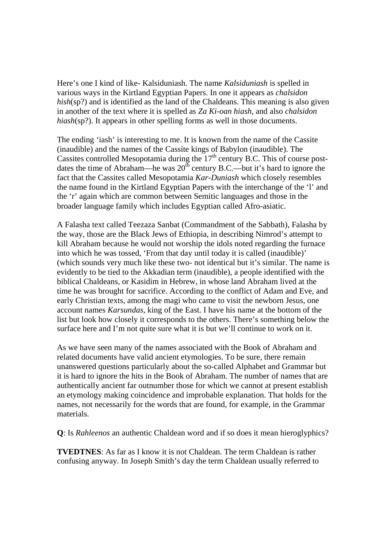Here's one I kind of like- Kalsiduniash. The name *Kalsiduniash* is spelled in various ways in the Kirtland Egyptian Papers. In one it appears as *chalsidon hish*(sp?) and is identified as the land of the Chaldeans. This meaning is also given in another of the text where it is spelled as *Za Ki-oan hiash*, and also *chalsidon hiash*(sp?). It appears in other spelling forms as well in those documents.

The ending 'iash' is interesting to me. It is known from the name of the Cassite (inaudible) and the names of the Cassite kings of Babylon (inaudible). The Cassites controlled Mesopotamia during the  $17<sup>th</sup>$  century B.C. This of course postdates the time of Abraham—he was  $20^{th}$  century B.C.—but it's hard to ignore the fact that the Cassites called Mesopotamia *Kar-Duniash* which closely resembles the name found in the Kirtland Egyptian Papers with the interchange of the 'l' and the 'r' again which are common between Semitic languages and those in the broader language family which includes Egyptian called Afro-asiatic.

A Falasha text called Teezaza Sanbat (Commandment of the Sabbath), Falasha by the way, those are the Black Jews of Ethiopia, in describing Nimrod's attempt to kill Abraham because he would not worship the idols noted regarding the furnace into which he was tossed, 'From that day until today it is called (inaudible)' (which sounds very much like these two- not identical but it's similar. The name is evidently to be tied to the Akkadian term (inaudible), a people identified with the biblical Chaldeans, or Kasidim in Hebrew, in whose land Abraham lived at the time he was brought for sacrifice. According to the conflict of Adam and Eve, and early Christian texts, among the magi who came to visit the newborn Jesus, one account names *Karsundas*, king of the East. I have his name at the bottom of the list but look how closely it corresponds to the others. There's something below the surface here and I'm not quite sure what it is but we'll continue to work on it.

As we have seen many of the names associated with the Book of Abraham and related documents have valid ancient etymologies. To be sure, there remain unanswered questions particularly about the so-called Alphabet and Grammar but it is hard to ignore the hits in the Book of Abraham. The number of names that are authentically ancient far outnumber those for which we cannot at present establish an etymology making coincidence and improbable explanation. That holds for the names, not necessarily for the words that are found, for example, in the Grammar materials.

**Q**: Is *Rahleenos* an authentic Chaldean word and if so does it mean hieroglyphics?

**TVEDTNES:** As far as I know it is not Chaldean. The term Chaldean is rather confusing anyway. In Joseph Smith's day the term Chaldean usually referred to